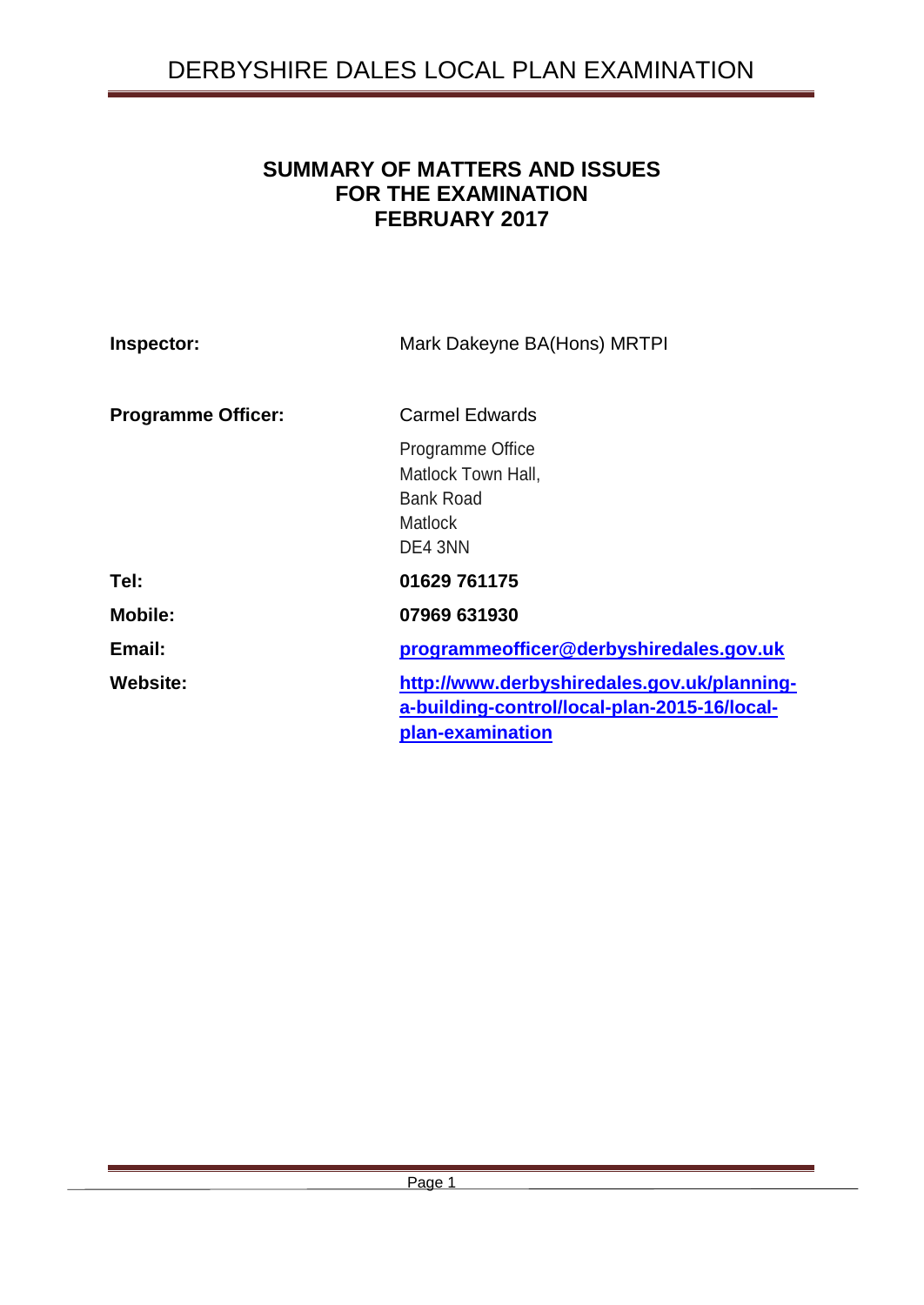# **SUMMARY OF MATTERS AND ISSUES FOR THE EXAMINATION FEBRUARY 2017**

| Inspector:                | Mark Dakeyne BA(Hons) MRTPI                                                                                     |
|---------------------------|-----------------------------------------------------------------------------------------------------------------|
| <b>Programme Officer:</b> | <b>Carmel Edwards</b>                                                                                           |
|                           | Programme Office<br>Matlock Town Hall,<br><b>Bank Road</b><br><b>Matlock</b><br>DE4 3NN                         |
| Tel:                      | 01629 761175                                                                                                    |
| <b>Mobile:</b>            | 07969 631930                                                                                                    |
| Email:                    | programmeofficer@derbyshiredales.gov.uk                                                                         |
| <b>Website:</b>           | http://www.derbyshiredales.gov.uk/planning-<br>a-building-control/local-plan-2015-16/local-<br>plan-examination |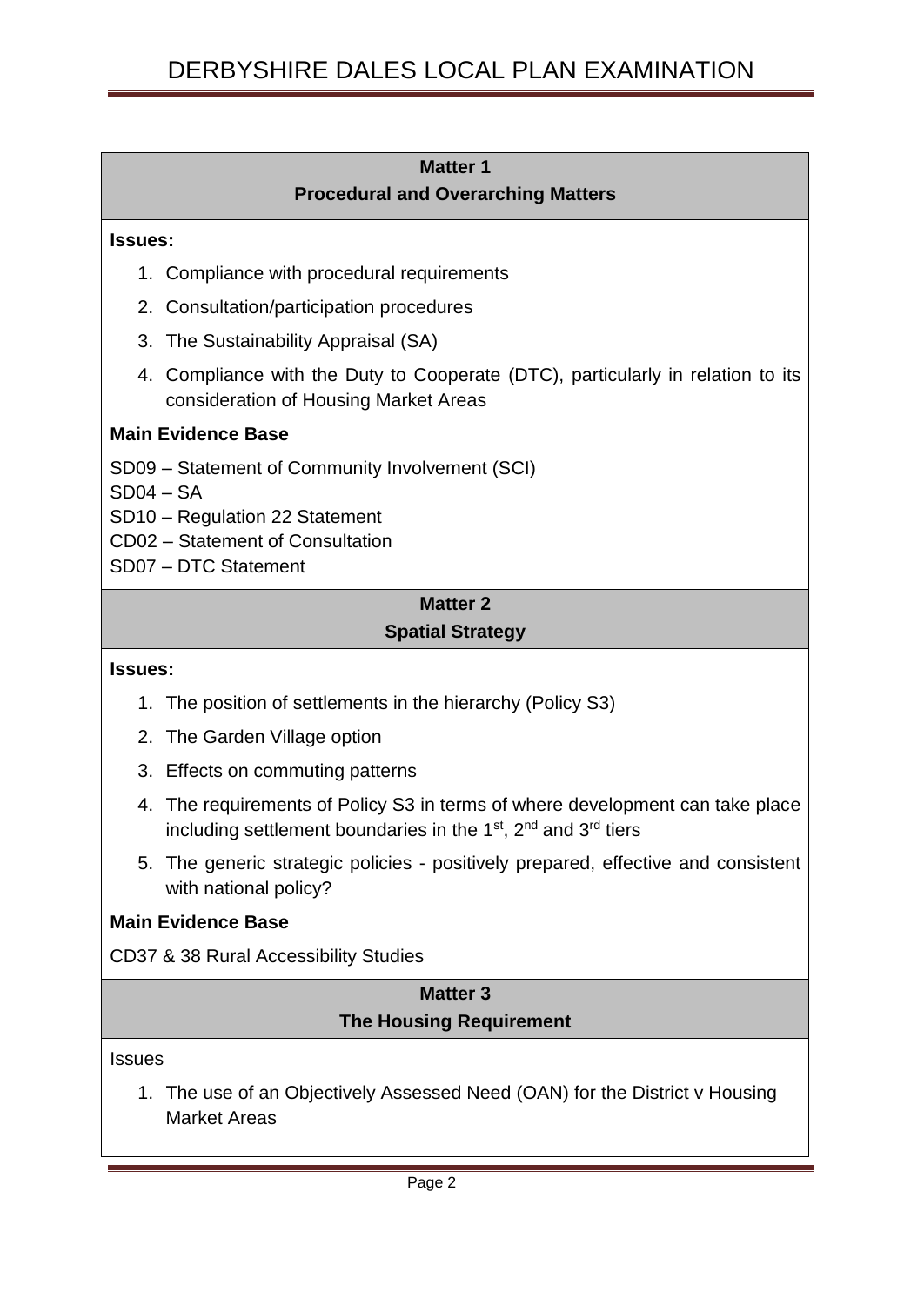### **Matter 1 Procedural and Overarching Matters**

#### **Issues:**

- 1. Compliance with procedural requirements
- 2. Consultation/participation procedures
- 3. The Sustainability Appraisal (SA)
- 4. Compliance with the Duty to Cooperate (DTC), particularly in relation to its consideration of Housing Market Areas

### **Main Evidence Base**

- SD09 Statement of Community Involvement (SCI)
- $SD04 SA$
- SD10 Regulation 22 Statement
- CD02 Statement of Consultation
- SD07 DTC Statement

# **Matter 2 Spatial Strategy**

#### **Issues:**

- 1. The position of settlements in the hierarchy (Policy S3)
- 2. The Garden Village option
- 3. Effects on commuting patterns
- 4. The requirements of Policy S3 in terms of where development can take place including settlement boundaries in the  $1<sup>st</sup>$ ,  $2<sup>nd</sup>$  and  $3<sup>rd</sup>$  tiers
- 5. The generic strategic policies positively prepared, effective and consistent with national policy?

### **Main Evidence Base**

CD37 & 38 Rural Accessibility Studies

# **Matter 3 The Housing Requirement**

#### **Issues**

1. The use of an Objectively Assessed Need (OAN) for the District v Housing Market Areas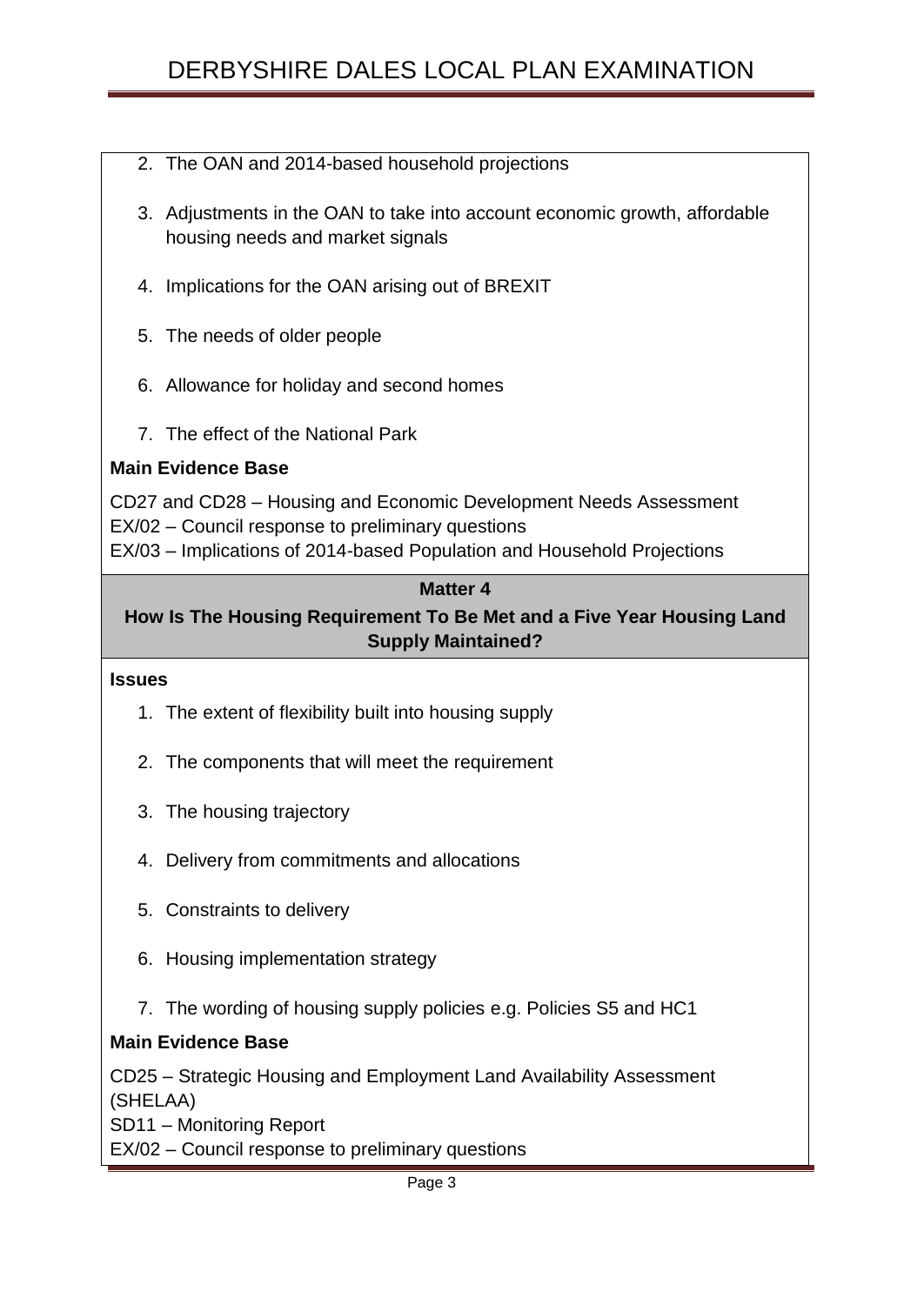# DERBYSHIRE DALES LOCAL PLAN EXAMINATION

- 2. The OAN and 2014-based household projections
- 3. Adjustments in the OAN to take into account economic growth, affordable housing needs and market signals
- 4. Implications for the OAN arising out of BREXIT
- 5. The needs of older people
- 6. Allowance for holiday and second homes
- 7. The effect of the National Park

### **Main Evidence Base**

CD27 and CD28 – Housing and Economic Development Needs Assessment EX/02 – Council response to preliminary questions EX/03 – Implications of 2014-based Population and Household Projections

### **Matter 4**

# **How Is The Housing Requirement To Be Met and a Five Year Housing Land Supply Maintained?**

#### **Issues**

- 1. The extent of flexibility built into housing supply
- 2. The components that will meet the requirement
- 3. The housing trajectory
- 4. Delivery from commitments and allocations
- 5. Constraints to delivery
- 6. Housing implementation strategy
- 7. The wording of housing supply policies e.g. Policies S5 and HC1

### **Main Evidence Base**

CD25 – Strategic Housing and Employment Land Availability Assessment (SHELAA)

SD11 – Monitoring Report

EX/02 – Council response to preliminary questions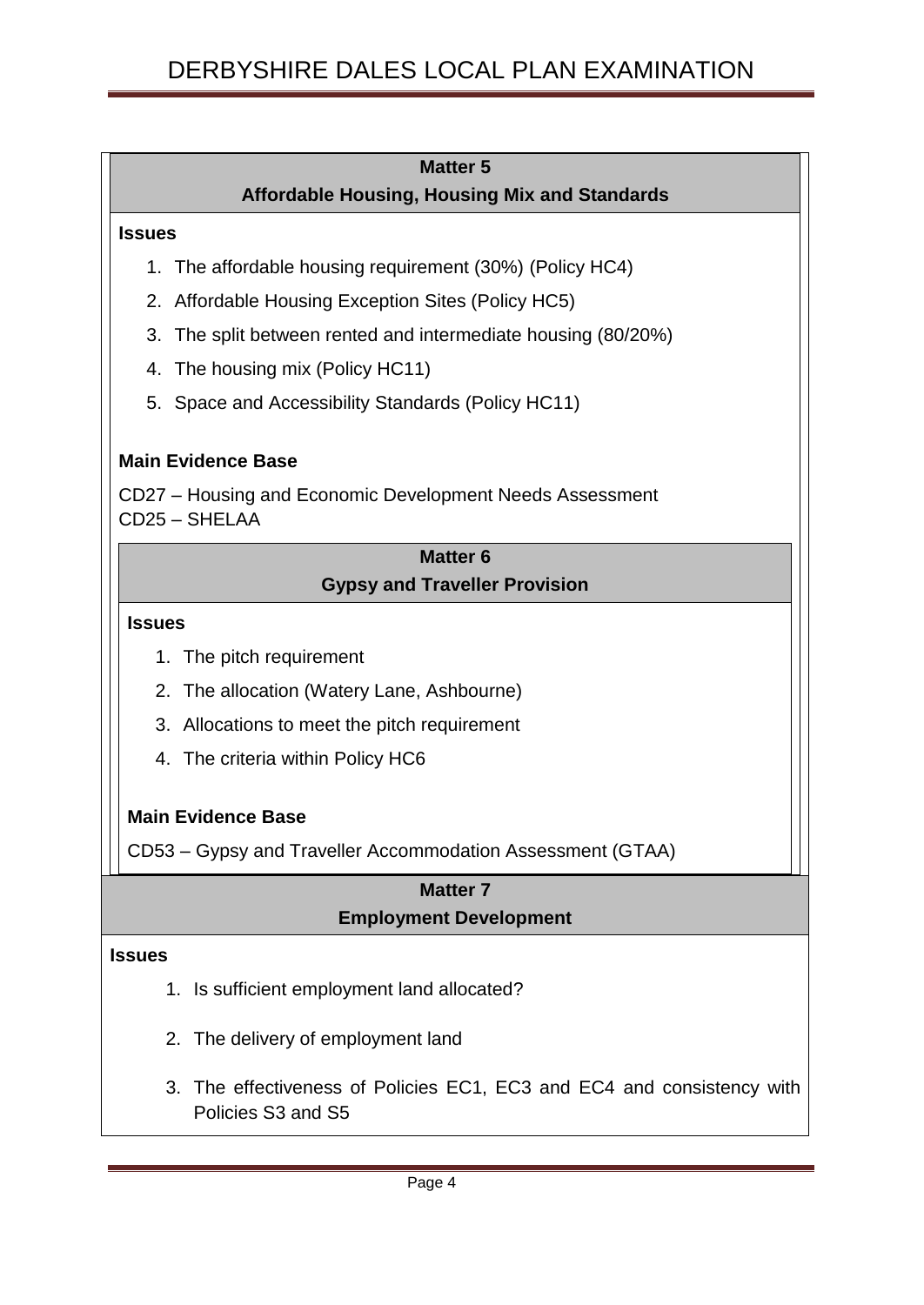| <b>Matter 5</b>                                                           |  |
|---------------------------------------------------------------------------|--|
| <b>Affordable Housing, Housing Mix and Standards</b>                      |  |
| <b>Issues</b>                                                             |  |
| The affordable housing requirement (30%) (Policy HC4)<br>1.               |  |
| 2. Affordable Housing Exception Sites (Policy HC5)                        |  |
| 3. The split between rented and intermediate housing (80/20%)             |  |
| 4. The housing mix (Policy HC11)                                          |  |
| 5. Space and Accessibility Standards (Policy HC11)                        |  |
| <b>Main Evidence Base</b>                                                 |  |
| CD27 – Housing and Economic Development Needs Assessment<br>CD25 - SHELAA |  |
| <b>Matter 6</b>                                                           |  |
| <b>Gypsy and Traveller Provision</b>                                      |  |
| <b>Issues</b>                                                             |  |
| 1. The pitch requirement                                                  |  |
| The allocation (Watery Lane, Ashbourne)<br>2.                             |  |
| 3. Allocations to meet the pitch requirement                              |  |
| 4. The criteria within Policy HC6                                         |  |
| <b>Main Evidence Base</b>                                                 |  |
| CD53 - Gypsy and Traveller Accommodation Assessment (GTAA)                |  |
| <b>Matter 7</b><br><b>Employment Development</b>                          |  |
| <b>Issues</b>                                                             |  |

- 1. Is sufficient employment land allocated?
- 2. The delivery of employment land
- 3. The effectiveness of Policies EC1, EC3 and EC4 and consistency with Policies S3 and S5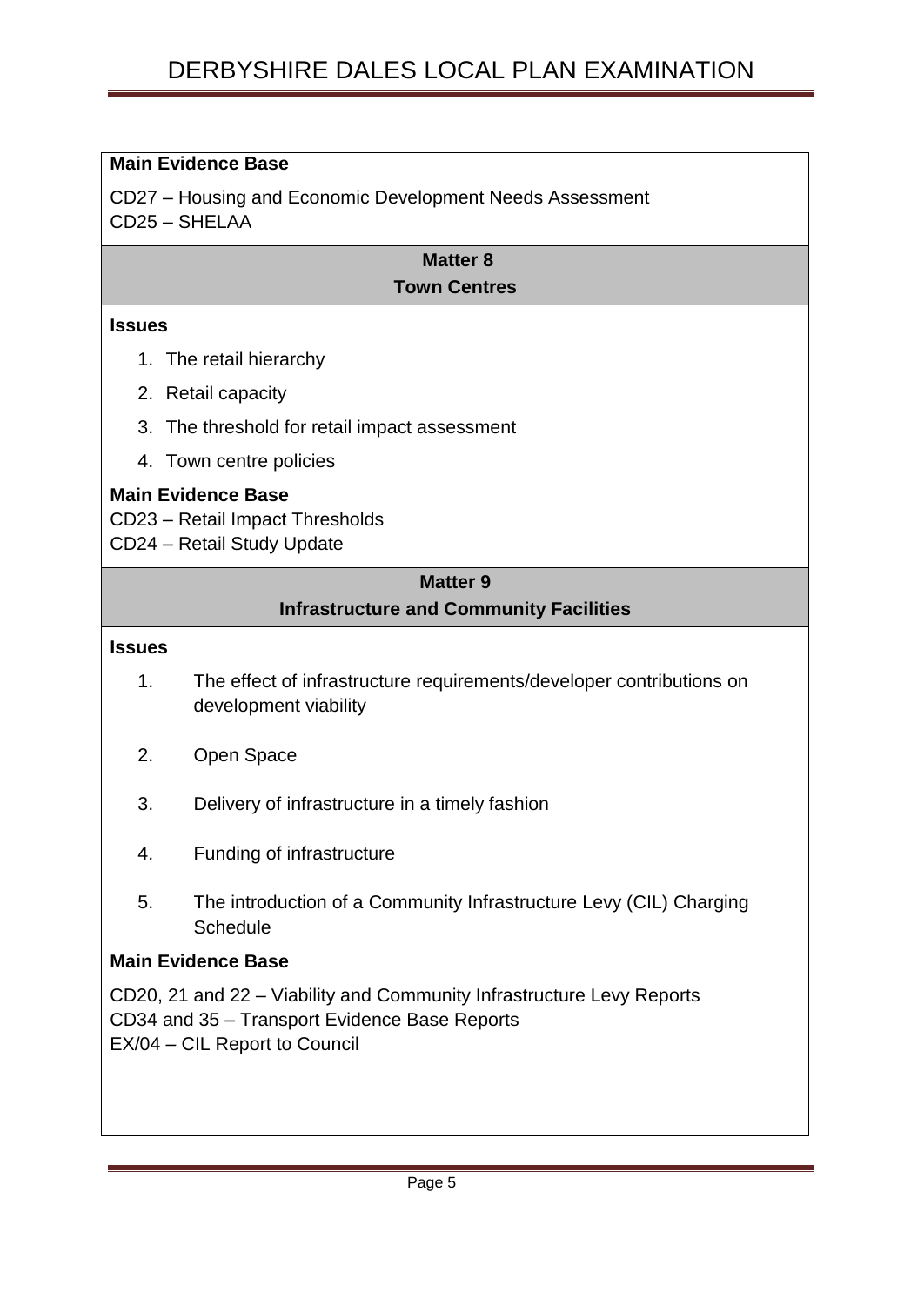### **Main Evidence Base**

CD27 – Housing and Economic Development Needs Assessment CD25 – SHELAA

### **Matter 8 Town Centres**

#### **Issues**

- 1. The retail hierarchy
- 2. Retail capacity
- 3. The threshold for retail impact assessment
- 4. Town centre policies

### **Main Evidence Base**

CD23 – Retail Impact Thresholds

CD24 – Retail Study Update

### **Matter 9**

### **Infrastructure and Community Facilities**

#### **Issues**

- 1. The effect of infrastructure requirements/developer contributions on development viability
- 2. Open Space
- 3. Delivery of infrastructure in a timely fashion
- 4. Funding of infrastructure
- 5. The introduction of a Community Infrastructure Levy (CIL) Charging **Schedule**

### **Main Evidence Base**

CD20, 21 and 22 – Viability and Community Infrastructure Levy Reports CD34 and 35 – Transport Evidence Base Reports EX/04 – CIL Report to Council